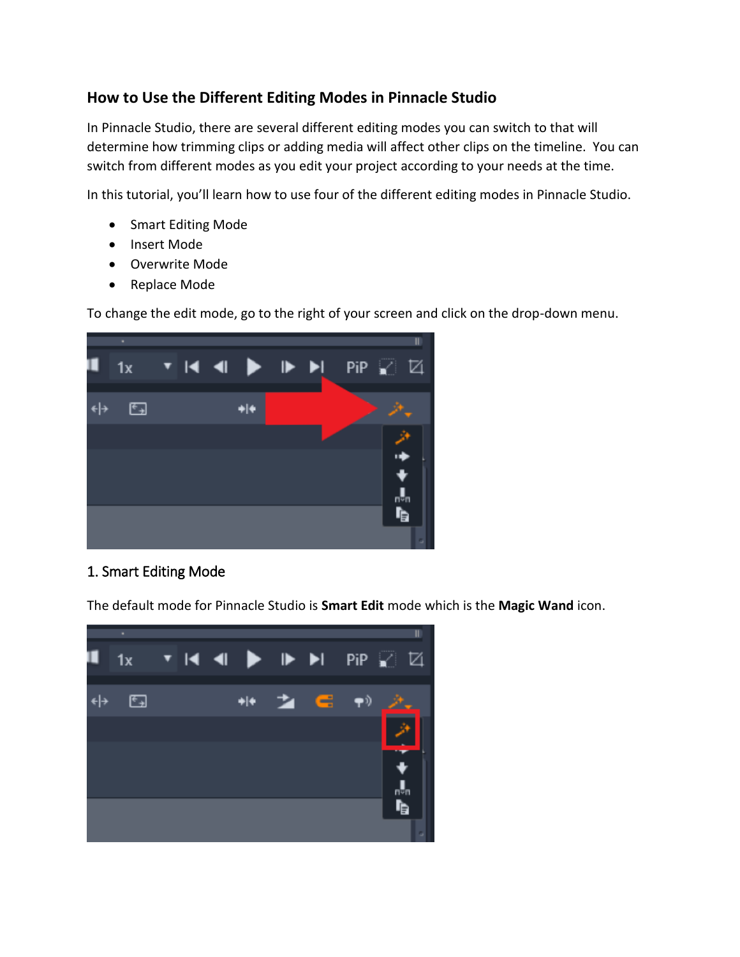# **How to Use the Different Editing Modes in Pinnacle Studio**

In Pinnacle Studio, there are several different editing modes you can switch to that will determine how trimming clips or adding media will affect other clips on the timeline. You can switch from different modes as you edit your project according to your needs at the time.

In this tutorial, you'll learn how to use four of the different editing modes in Pinnacle Studio.

- Smart Editing Mode
- Insert Mode
- Overwrite Mode
- Replace Mode

To change the edit mode, go to the right of your screen and click on the drop-down menu.



## 1. Smart Editing Mode

The default mode for Pinnacle Studio is **Smart Edit** mode which is the **Magic Wand** icon.

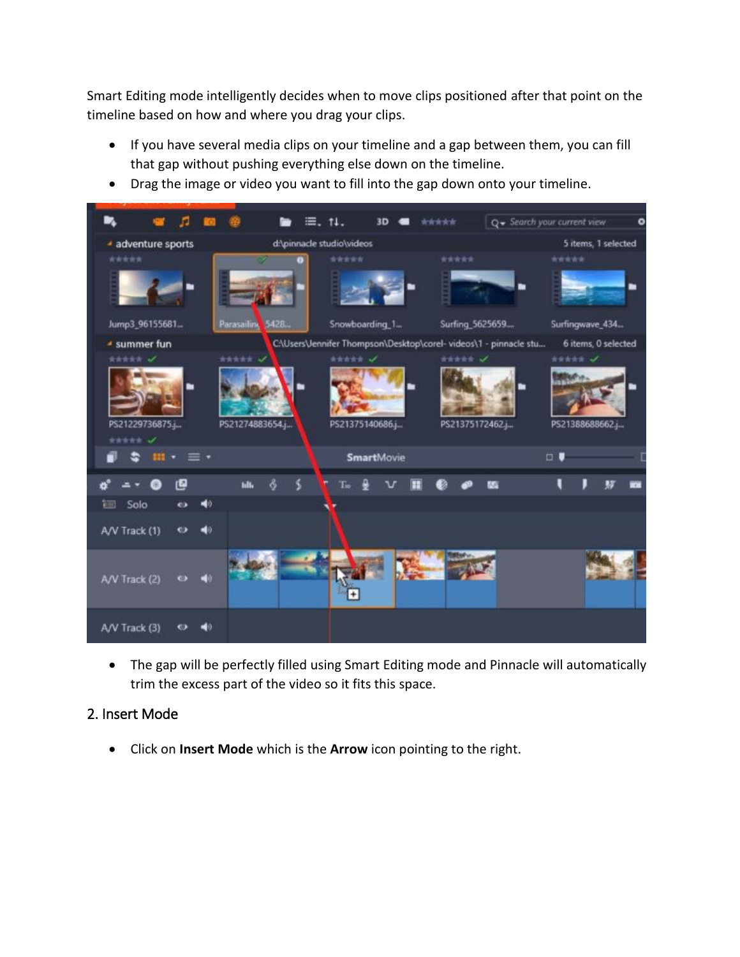Smart Editing mode intelligently decides when to move clips positioned after that point on the timeline based on how and where you drag your clips.

- If you have several media clips on your timeline and a gap between them, you can fill that gap without pushing everything else down on the timeline.
- Drag the image or video you want to fill into the gap down onto your timeline.



• The gap will be perfectly filled using Smart Editing mode and Pinnacle will automatically trim the excess part of the video so it fits this space.

#### 2. Insert Mode

• Click on **Insert Mode** which is the **Arrow** icon pointing to the right.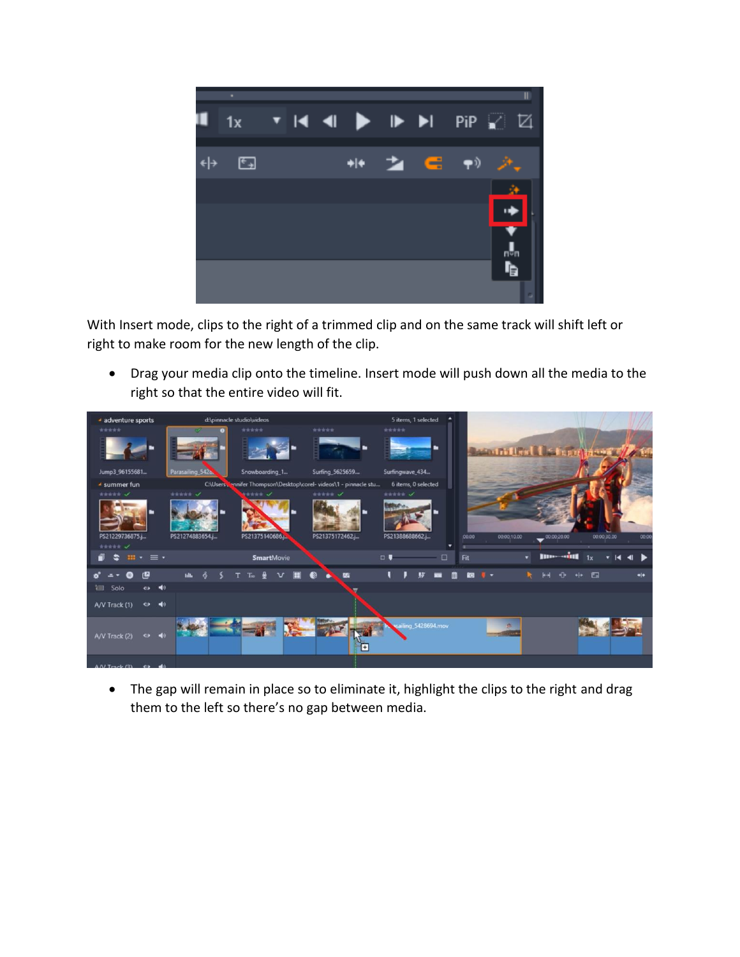

With Insert mode, clips to the right of a trimmed clip and on the same track will shift left or right to make room for the new length of the clip.

• Drag your media clip onto the timeline. Insert mode will push down all the media to the right so that the entire video will fit.



• The gap will remain in place so to eliminate it, highlight the clips to the right and drag them to the left so there's no gap between media.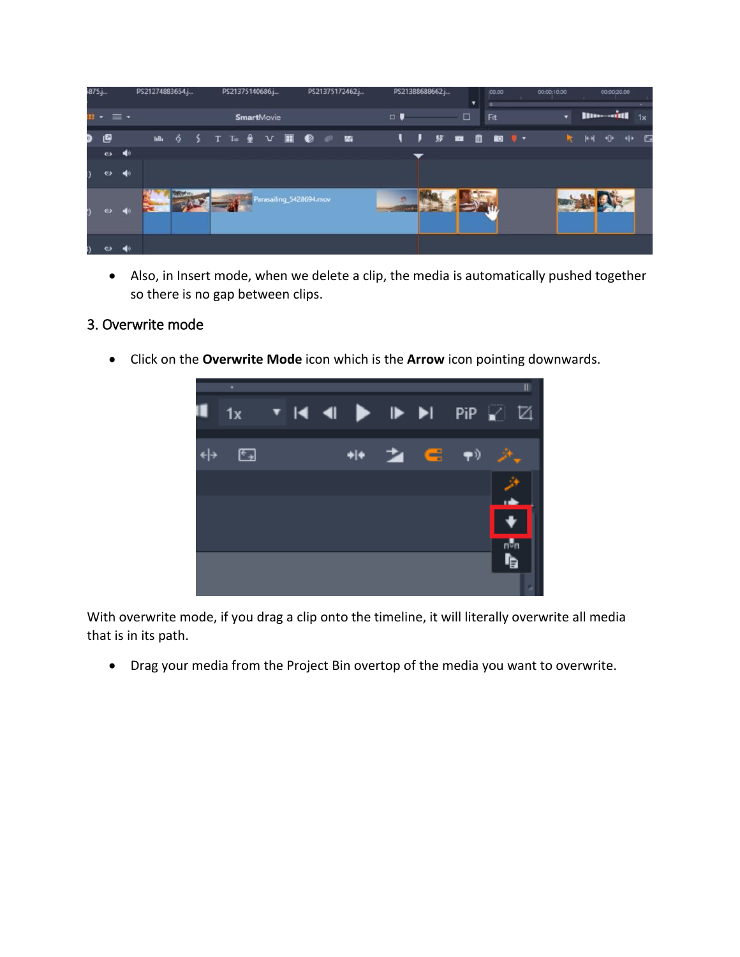| $875.$ |                 | PS21274883654.j      |                   |  | PS21375140686.j |                                    |  |  | PS21375172462.j |  |  |  | PS21388688662.j<br>▼ |              |   |  | :00.00 |                    | 00:00:10:00 |  | 00:00:20.00                |  |      |  |  |
|--------|-----------------|----------------------|-------------------|--|-----------------|------------------------------------|--|--|-----------------|--|--|--|----------------------|--------------|---|--|--------|--------------------|-------------|--|----------------------------|--|------|--|--|
|        | $\cdots \equiv$ |                      | <b>SmartMovie</b> |  |                 |                                    |  |  |                 |  |  |  | □<br>$\Box$<br>__    |              |   |  |        | Fit                |             |  | <b>Illument</b><br>1x<br>۰ |  |      |  |  |
|        | 四               |                      |                   |  |                 |                                    |  |  |                 |  |  |  |                      | $\mathbf{H}$ | , |  |        | <b>财 面 自 回 U ·</b> |             |  | $\mathbf{R}$               |  | 树母中国 |  |  |
|        | $\bullet$       | $\blacktriangleleft$ |                   |  |                 |                                    |  |  |                 |  |  |  |                      |              |   |  |        |                    |             |  |                            |  |      |  |  |
|        | $\bullet$       | ◀                    |                   |  |                 |                                    |  |  |                 |  |  |  |                      |              |   |  |        |                    |             |  |                            |  |      |  |  |
|        | $\bullet$       | $\blacksquare$       |                   |  |                 | <b>ANY Parasailing_5428694.mov</b> |  |  |                 |  |  |  |                      |              |   |  |        |                    |             |  |                            |  |      |  |  |
|        |                 |                      |                   |  |                 |                                    |  |  |                 |  |  |  |                      |              |   |  |        |                    |             |  |                            |  |      |  |  |

• Also, in Insert mode, when we delete a clip, the media is automatically pushed together so there is no gap between clips.

#### 3. Overwrite mode

• Click on the **Overwrite Mode** icon which is the **Arrow** icon pointing downwards.



With overwrite mode, if you drag a clip onto the timeline, it will literally overwrite all media that is in its path.

• Drag your media from the Project Bin overtop of the media you want to overwrite.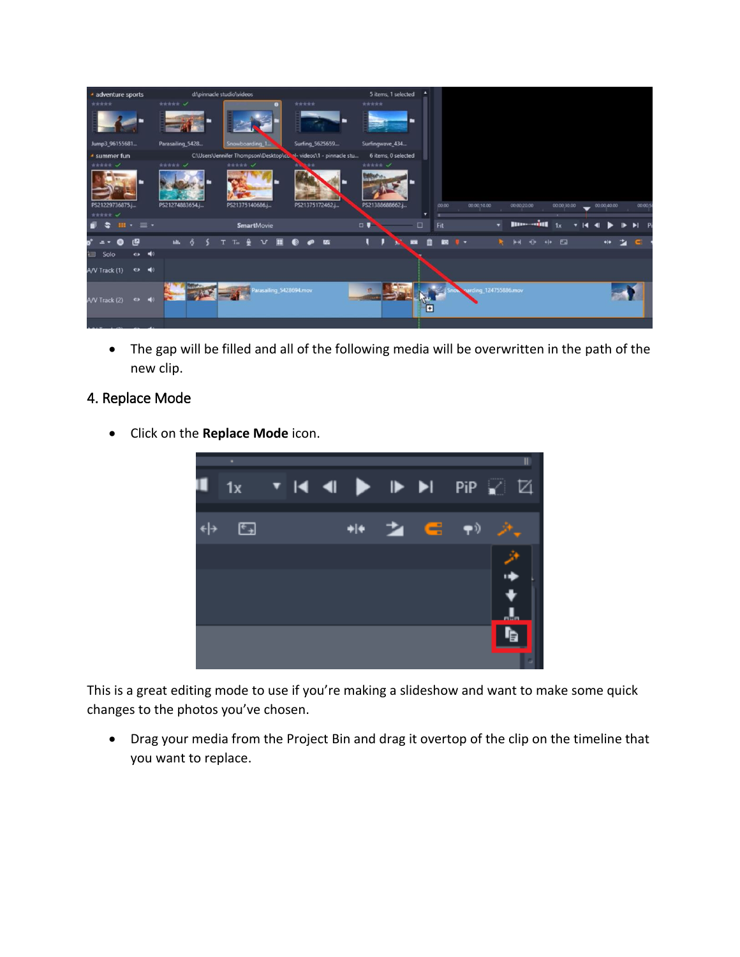

• The gap will be filled and all of the following media will be overwritten in the path of the new clip.

### 4. Replace Mode

• Click on the **Replace Mode** icon.



This is a great editing mode to use if you're making a slideshow and want to make some quick changes to the photos you've chosen.

• Drag your media from the Project Bin and drag it overtop of the clip on the timeline that you want to replace.